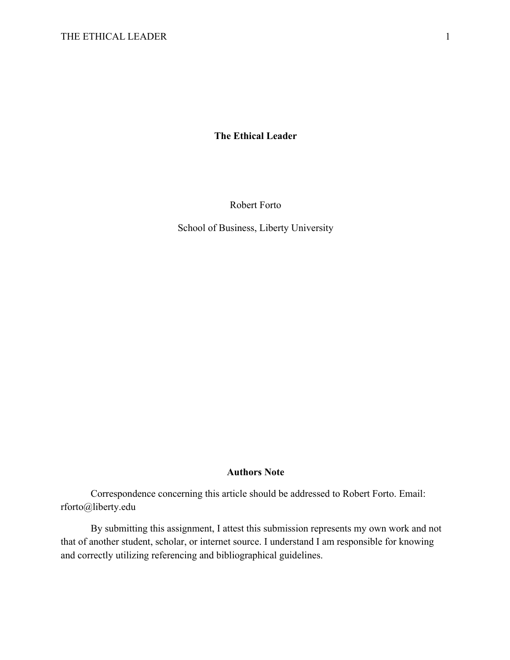**The Ethical Leader**

Robert Forto

School of Business, Liberty University

# **Authors Note**

Correspondence concerning this article should be addressed to Robert Forto. Email: rforto@liberty.edu

By submitting this assignment, I attest this submission represents my own work and not that of another student, scholar, or internet source. I understand I am responsible for knowing and correctly utilizing referencing and bibliographical guidelines.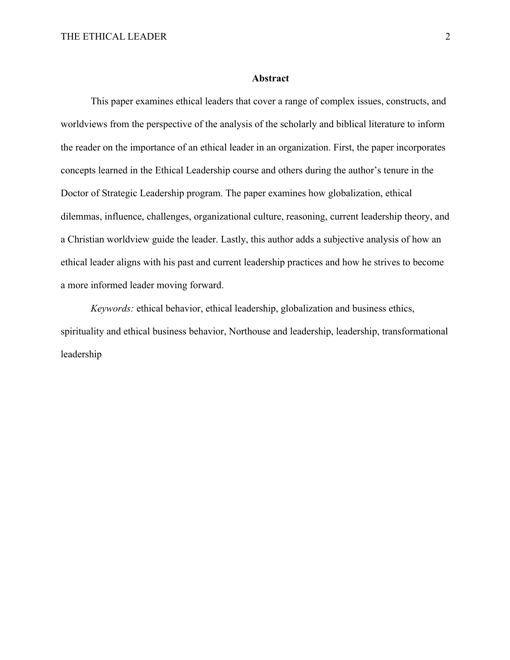### **Abstract**

This paper examines ethical leaders that cover a range of complex issues, constructs, and worldviews from the perspective of the analysis of the scholarly and biblical literature to inform the reader on the importance of an ethical leader in an organization. First, the paper incorporates concepts learned in the Ethical Leadership course and others during the author's tenure in the Doctor of Strategic Leadership program. The paper examines how globalization, ethical dilemmas, influence, challenges, organizational culture, reasoning, current leadership theory, and a Christian worldview guide the leader. Lastly, this author adds a subjective analysis of how an ethical leader aligns with his past and current leadership practices and how he strives to become a more informed leader moving forward.

*Keywords:* ethical behavior, ethical leadership, globalization and business ethics, spirituality and ethical business behavior, Northouse and leadership, leadership, transformational leadership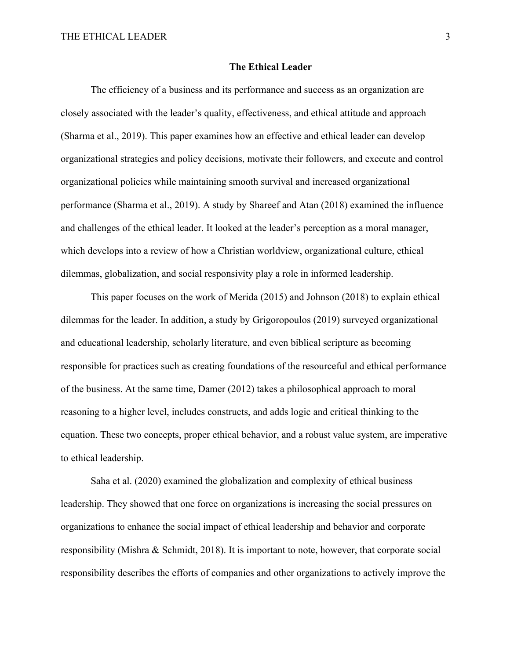### **The Ethical Leader**

The efficiency of a business and its performance and success as an organization are closely associated with the leader's quality, effectiveness, and ethical attitude and approach (Sharma et al., 2019). This paper examines how an effective and ethical leader can develop organizational strategies and policy decisions, motivate their followers, and execute and control organizational policies while maintaining smooth survival and increased organizational performance (Sharma et al., 2019). A study by Shareef and Atan (2018) examined the influence and challenges of the ethical leader. It looked at the leader's perception as a moral manager, which develops into a review of how a Christian worldview, organizational culture, ethical dilemmas, globalization, and social responsivity play a role in informed leadership.

This paper focuses on the work of Merida (2015) and Johnson (2018) to explain ethical dilemmas for the leader. In addition, a study by Grigoropoulos (2019) surveyed organizational and educational leadership, scholarly literature, and even biblical scripture as becoming responsible for practices such as creating foundations of the resourceful and ethical performance of the business. At the same time, Damer (2012) takes a philosophical approach to moral reasoning to a higher level, includes constructs, and adds logic and critical thinking to the equation. These two concepts, proper ethical behavior, and a robust value system, are imperative to ethical leadership.

Saha et al. (2020) examined the globalization and complexity of ethical business leadership. They showed that one force on organizations is increasing the social pressures on organizations to enhance the social impact of ethical leadership and behavior and corporate responsibility (Mishra & Schmidt, 2018). It is important to note, however, that corporate social responsibility describes the efforts of companies and other organizations to actively improve the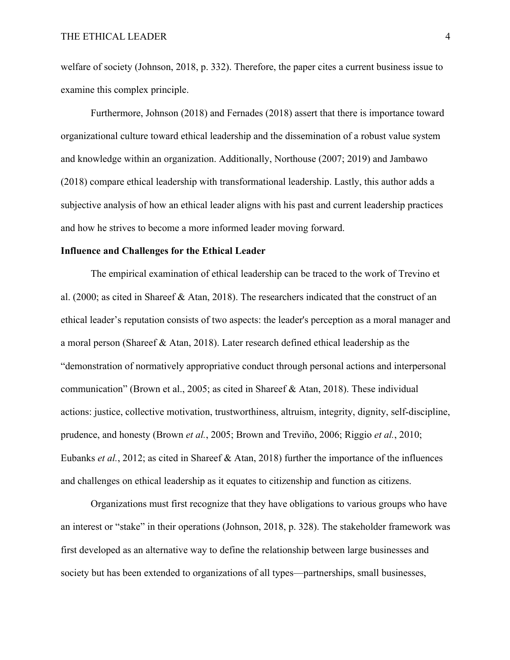welfare of society (Johnson, 2018, p. 332). Therefore, the paper cites a current business issue to examine this complex principle.

Furthermore, Johnson (2018) and Fernades (2018) assert that there is importance toward organizational culture toward ethical leadership and the dissemination of a robust value system and knowledge within an organization. Additionally, Northouse (2007; 2019) and Jambawo (2018) compare ethical leadership with transformational leadership. Lastly, this author adds a subjective analysis of how an ethical leader aligns with his past and current leadership practices and how he strives to become a more informed leader moving forward.

## **Influence and Challenges for the Ethical Leader**

The empirical examination of ethical leadership can be traced to the work of Trevino et al. (2000; as cited in Shareef & Atan, 2018). The researchers indicated that the construct of an ethical leader's reputation consists of two aspects: the leader's perception as a moral manager and a moral person (Shareef & Atan, 2018). Later research defined ethical leadership as the "demonstration of normatively appropriative conduct through personal actions and interpersonal communication" (Brown et al., 2005; as cited in Shareef & Atan, 2018). These individual actions: justice, collective motivation, trustworthiness, altruism, integrity, dignity, self-discipline, prudence, and honesty (Brown *et al.*, 2005; Brown and Treviño, 2006; Riggio *et al.*, 2010; Eubanks *et al.*, 2012; as cited in Shareef & Atan, 2018) further the importance of the influences and challenges on ethical leadership as it equates to citizenship and function as citizens.

Organizations must first recognize that they have obligations to various groups who have an interest or "stake" in their operations (Johnson, 2018, p. 328). The stakeholder framework was first developed as an alternative way to define the relationship between large businesses and society but has been extended to organizations of all types—partnerships, small businesses,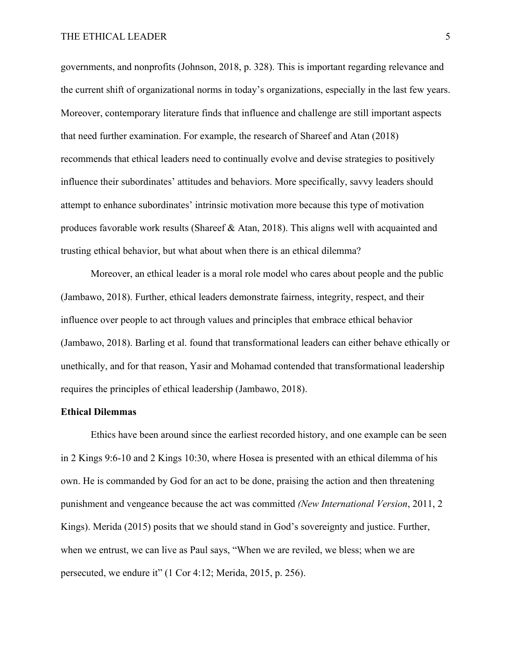# THE ETHICAL LEADER 5

governments, and nonprofits (Johnson, 2018, p. 328). This is important regarding relevance and the current shift of organizational norms in today's organizations, especially in the last few years. Moreover, contemporary literature finds that influence and challenge are still important aspects that need further examination. For example, the research of Shareef and Atan (2018) recommends that ethical leaders need to continually evolve and devise strategies to positively influence their subordinates' attitudes and behaviors. More specifically, savvy leaders should attempt to enhance subordinates' intrinsic motivation more because this type of motivation produces favorable work results (Shareef & Atan, 2018). This aligns well with acquainted and trusting ethical behavior, but what about when there is an ethical dilemma?

Moreover, an ethical leader is a moral role model who cares about people and the public (Jambawo, 2018). Further, ethical leaders demonstrate fairness, integrity, respect, and their influence over people to act through values and principles that embrace ethical behavior (Jambawo, 2018). Barling et al. found that transformational leaders can either behave ethically or unethically, and for that reason, Yasir and Mohamad contended that transformational leadership requires the principles of ethical leadership (Jambawo, 2018).

### **Ethical Dilemmas**

Ethics have been around since the earliest recorded history, and one example can be seen in 2 Kings 9:6-10 and 2 Kings 10:30, where Hosea is presented with an ethical dilemma of his own. He is commanded by God for an act to be done, praising the action and then threatening punishment and vengeance because the act was committed *(New International Version*, 2011, 2 Kings). Merida (2015) posits that we should stand in God's sovereignty and justice. Further, when we entrust, we can live as Paul says, "When we are reviled, we bless; when we are persecuted, we endure it" (1 Cor 4:12; Merida, 2015, p. 256).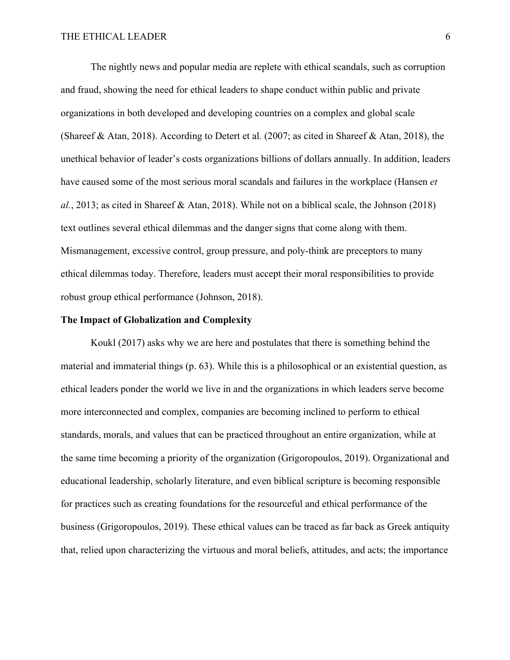The nightly news and popular media are replete with ethical scandals, such as corruption and fraud, showing the need for ethical leaders to shape conduct within public and private organizations in both developed and developing countries on a complex and global scale (Shareef & Atan, 2018). According to Detert et al*.* (2007; as cited in Shareef & Atan, 2018), the unethical behavior of leader's costs organizations billions of dollars annually. In addition, leaders have caused some of the most serious moral scandals and failures in the workplace (Hansen *et al.*, 2013; as cited in Shareef & Atan, 2018). While not on a biblical scale, the Johnson (2018) text outlines several ethical dilemmas and the danger signs that come along with them. Mismanagement, excessive control, group pressure, and poly-think are preceptors to many ethical dilemmas today. Therefore, leaders must accept their moral responsibilities to provide robust group ethical performance (Johnson, 2018).

# **The Impact of Globalization and Complexity**

Koukl (2017) asks why we are here and postulates that there is something behind the material and immaterial things (p. 63). While this is a philosophical or an existential question, as ethical leaders ponder the world we live in and the organizations in which leaders serve become more interconnected and complex, companies are becoming inclined to perform to ethical standards, morals, and values that can be practiced throughout an entire organization, while at the same time becoming a priority of the organization (Grigoropoulos, 2019). Organizational and educational leadership, scholarly literature, and even biblical scripture is becoming responsible for practices such as creating foundations for the resourceful and ethical performance of the business (Grigoropoulos, 2019). These ethical values can be traced as far back as Greek antiquity that, relied upon characterizing the virtuous and moral beliefs, attitudes, and acts; the importance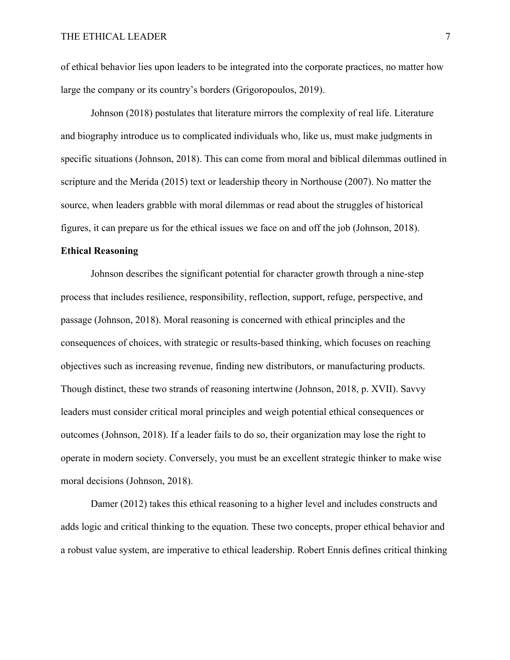of ethical behavior lies upon leaders to be integrated into the corporate practices, no matter how large the company or its country's borders (Grigoropoulos, 2019).

Johnson (2018) postulates that literature mirrors the complexity of real life. Literature and biography introduce us to complicated individuals who, like us, must make judgments in specific situations (Johnson, 2018). This can come from moral and biblical dilemmas outlined in scripture and the Merida (2015) text or leadership theory in Northouse (2007). No matter the source, when leaders grabble with moral dilemmas or read about the struggles of historical figures, it can prepare us for the ethical issues we face on and off the job (Johnson, 2018).

# **Ethical Reasoning**

Johnson describes the significant potential for character growth through a nine-step process that includes resilience, responsibility, reflection, support, refuge, perspective, and passage (Johnson, 2018). Moral reasoning is concerned with ethical principles and the consequences of choices, with strategic or results-based thinking, which focuses on reaching objectives such as increasing revenue, finding new distributors, or manufacturing products. Though distinct, these two strands of reasoning intertwine (Johnson, 2018, p. XVII). Savvy leaders must consider critical moral principles and weigh potential ethical consequences or outcomes (Johnson, 2018). If a leader fails to do so, their organization may lose the right to operate in modern society. Conversely, you must be an excellent strategic thinker to make wise moral decisions (Johnson, 2018).

Damer (2012) takes this ethical reasoning to a higher level and includes constructs and adds logic and critical thinking to the equation. These two concepts, proper ethical behavior and a robust value system, are imperative to ethical leadership. Robert Ennis defines critical thinking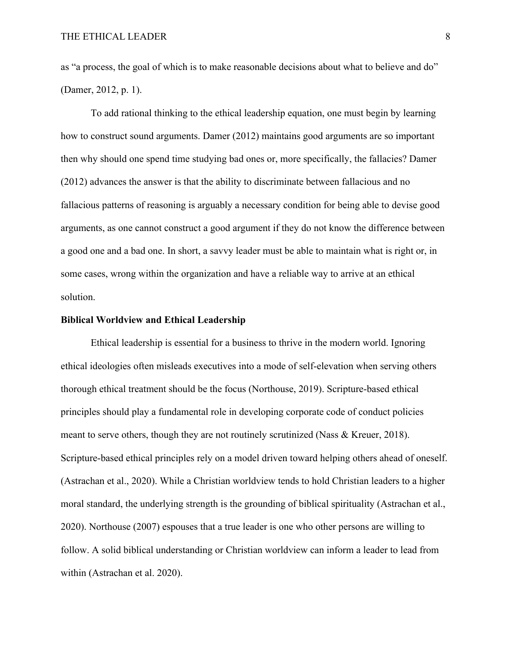as "a process, the goal of which is to make reasonable decisions about what to believe and do" (Damer, 2012, p. 1).

To add rational thinking to the ethical leadership equation, one must begin by learning how to construct sound arguments. Damer (2012) maintains good arguments are so important then why should one spend time studying bad ones or, more specifically, the fallacies? Damer (2012) advances the answer is that the ability to discriminate between fallacious and no fallacious patterns of reasoning is arguably a necessary condition for being able to devise good arguments, as one cannot construct a good argument if they do not know the difference between a good one and a bad one. In short, a savvy leader must be able to maintain what is right or, in some cases, wrong within the organization and have a reliable way to arrive at an ethical solution.

#### **Biblical Worldview and Ethical Leadership**

Ethical leadership is essential for a business to thrive in the modern world. Ignoring ethical ideologies often misleads executives into a mode of self-elevation when serving others thorough ethical treatment should be the focus (Northouse, 2019). Scripture-based ethical principles should play a fundamental role in developing corporate code of conduct policies meant to serve others, though they are not routinely scrutinized (Nass & Kreuer, 2018). Scripture-based ethical principles rely on a model driven toward helping others ahead of oneself. (Astrachan et al., 2020). While a Christian worldview tends to hold Christian leaders to a higher moral standard, the underlying strength is the grounding of biblical spirituality (Astrachan et al., 2020). Northouse (2007) espouses that a true leader is one who other persons are willing to follow. A solid biblical understanding or Christian worldview can inform a leader to lead from within (Astrachan et al. 2020).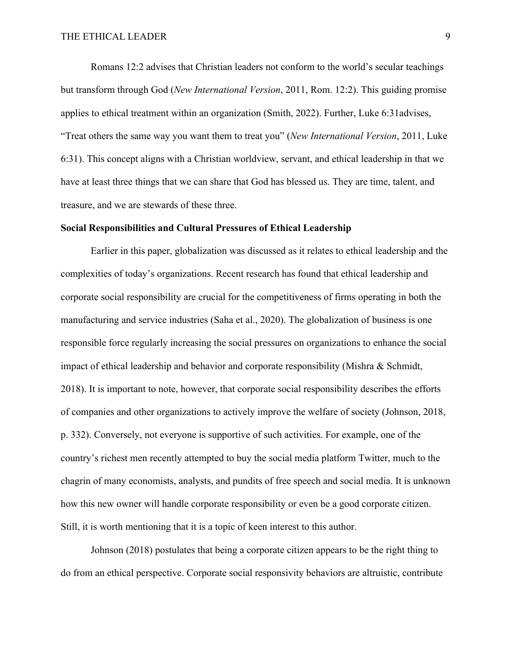Romans 12:2 advises that Christian leaders not conform to the world's secular teachings but transform through God (*New International Version*, 2011, Rom. 12:2). This guiding promise applies to ethical treatment within an organization (Smith, 2022). Further, Luke 6:31advises, "Treat others the same way you want them to treat you" (*New International Version*, 2011, Luke 6:31). This concept aligns with a Christian worldview, servant, and ethical leadership in that we have at least three things that we can share that God has blessed us. They are time, talent, and treasure, and we are stewards of these three.

### **Social Responsibilities and Cultural Pressures of Ethical Leadership**

Earlier in this paper, globalization was discussed as it relates to ethical leadership and the complexities of today's organizations. Recent research has found that ethical leadership and corporate social responsibility are crucial for the competitiveness of firms operating in both the manufacturing and service industries (Saha et al., 2020). The globalization of business is one responsible force regularly increasing the social pressures on organizations to enhance the social impact of ethical leadership and behavior and corporate responsibility (Mishra & Schmidt, 2018). It is important to note, however, that corporate social responsibility describes the efforts of companies and other organizations to actively improve the welfare of society (Johnson, 2018, p. 332). Conversely, not everyone is supportive of such activities. For example, one of the country's richest men recently attempted to buy the social media platform Twitter, much to the chagrin of many economists, analysts, and pundits of free speech and social media. It is unknown how this new owner will handle corporate responsibility or even be a good corporate citizen. Still, it is worth mentioning that it is a topic of keen interest to this author.

Johnson (2018) postulates that being a corporate citizen appears to be the right thing to do from an ethical perspective. Corporate social responsivity behaviors are altruistic, contribute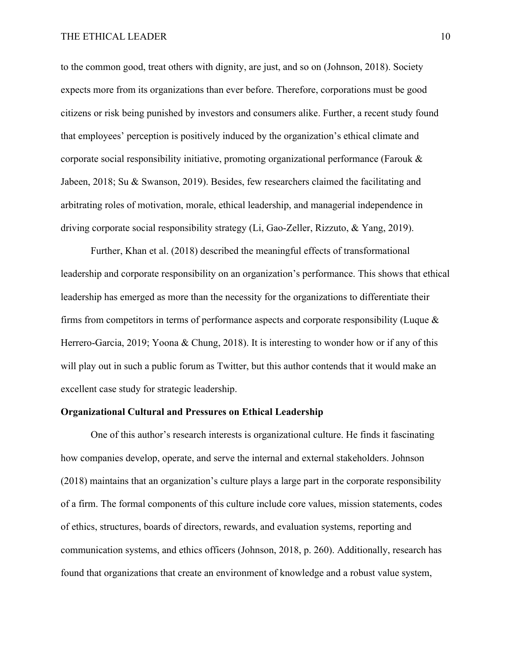to the common good, treat others with dignity, are just, and so on (Johnson, 2018). Society expects more from its organizations than ever before. Therefore, corporations must be good citizens or risk being punished by investors and consumers alike. Further, a recent study found that employees' perception is positively induced by the organization's ethical climate and corporate social responsibility initiative, promoting organizational performance (Farouk  $\&$ Jabeen, 2018; Su & Swanson, 2019). Besides, few researchers claimed the facilitating and arbitrating roles of motivation, morale, ethical leadership, and managerial independence in driving corporate social responsibility strategy (Li, Gao‐Zeller, Rizzuto, & Yang, 2019).

Further, Khan et al. (2018) described the meaningful effects of transformational leadership and corporate responsibility on an organization's performance. This shows that ethical leadership has emerged as more than the necessity for the organizations to differentiate their firms from competitors in terms of performance aspects and corporate responsibility (Luque & Herrero-Garcia, 2019; Yoona & Chung, 2018). It is interesting to wonder how or if any of this will play out in such a public forum as Twitter, but this author contends that it would make an excellent case study for strategic leadership.

# **Organizational Cultural and Pressures on Ethical Leadership**

One of this author's research interests is organizational culture. He finds it fascinating how companies develop, operate, and serve the internal and external stakeholders. Johnson (2018) maintains that an organization's culture plays a large part in the corporate responsibility of a firm. The formal components of this culture include core values, mission statements, codes of ethics, structures, boards of directors, rewards, and evaluation systems, reporting and communication systems, and ethics officers (Johnson, 2018, p. 260). Additionally, research has found that organizations that create an environment of knowledge and a robust value system,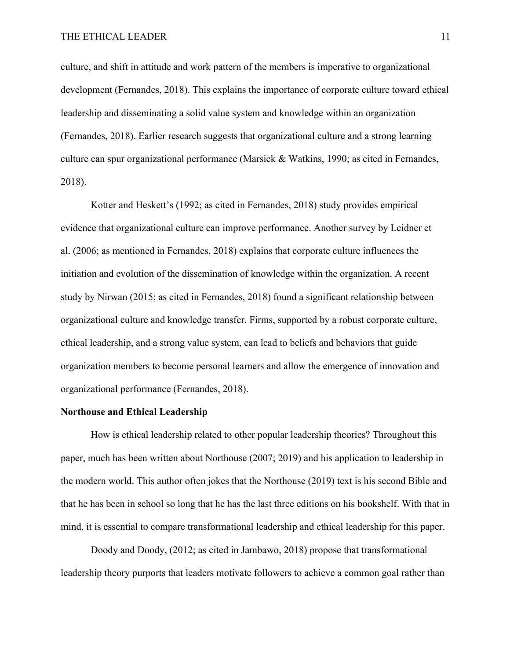culture, and shift in attitude and work pattern of the members is imperative to organizational development (Fernandes, 2018). This explains the importance of corporate culture toward ethical leadership and disseminating a solid value system and knowledge within an organization (Fernandes, 2018). Earlier research suggests that organizational culture and a strong learning culture can spur organizational performance (Marsick & Watkins, 1990; as cited in Fernandes, 2018).

Kotter and Heskett's (1992; as cited in Fernandes, 2018) study provides empirical evidence that organizational culture can improve performance. Another survey by Leidner et al. (2006; as mentioned in Fernandes, 2018) explains that corporate culture influences the initiation and evolution of the dissemination of knowledge within the organization. A recent study by Nirwan (2015; as cited in Fernandes, 2018) found a significant relationship between organizational culture and knowledge transfer. Firms, supported by a robust corporate culture, ethical leadership, and a strong value system, can lead to beliefs and behaviors that guide organization members to become personal learners and allow the emergence of innovation and organizational performance (Fernandes, 2018).

# **Northouse and Ethical Leadership**

How is ethical leadership related to other popular leadership theories? Throughout this paper, much has been written about Northouse (2007; 2019) and his application to leadership in the modern world. This author often jokes that the Northouse (2019) text is his second Bible and that he has been in school so long that he has the last three editions on his bookshelf. With that in mind, it is essential to compare transformational leadership and ethical leadership for this paper.

Doody and Doody, (2012; as cited in Jambawo, 2018) propose that transformational leadership theory purports that leaders motivate followers to achieve a common goal rather than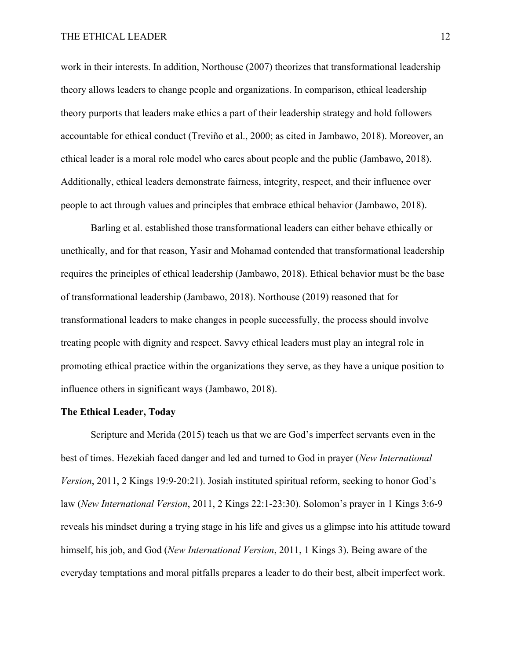work in their interests. In addition, Northouse (2007) theorizes that transformational leadership theory allows leaders to change people and organizations. In comparison, ethical leadership theory purports that leaders make ethics a part of their leadership strategy and hold followers accountable for ethical conduct (Treviño et al., 2000; as cited in Jambawo, 2018). Moreover, an ethical leader is a moral role model who cares about people and the public (Jambawo, 2018). Additionally, ethical leaders demonstrate fairness, integrity, respect, and their influence over people to act through values and principles that embrace ethical behavior (Jambawo, 2018).

Barling et al. established those transformational leaders can either behave ethically or unethically, and for that reason, Yasir and Mohamad contended that transformational leadership requires the principles of ethical leadership (Jambawo, 2018). Ethical behavior must be the base of transformational leadership (Jambawo, 2018). Northouse (2019) reasoned that for transformational leaders to make changes in people successfully, the process should involve treating people with dignity and respect. Savvy ethical leaders must play an integral role in promoting ethical practice within the organizations they serve, as they have a unique position to influence others in significant ways (Jambawo, 2018).

# **The Ethical Leader, Today**

Scripture and Merida (2015) teach us that we are God's imperfect servants even in the best of times. Hezekiah faced danger and led and turned to God in prayer (*New International Version*, 2011, 2 Kings 19:9-20:21). Josiah instituted spiritual reform, seeking to honor God's law (*New International Version*, 2011, 2 Kings 22:1-23:30). Solomon's prayer in 1 Kings 3:6-9 reveals his mindset during a trying stage in his life and gives us a glimpse into his attitude toward himself, his job, and God (*New International Version*, 2011, 1 Kings 3). Being aware of the everyday temptations and moral pitfalls prepares a leader to do their best, albeit imperfect work.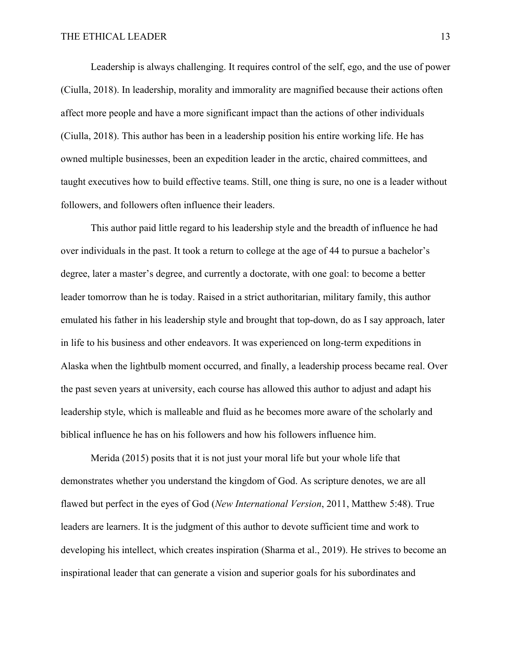## THE ETHICAL LEADER 13

Leadership is always challenging. It requires control of the self, ego, and the use of power (Ciulla, 2018). In leadership, morality and immorality are magnified because their actions often affect more people and have a more significant impact than the actions of other individuals (Ciulla, 2018). This author has been in a leadership position his entire working life. He has owned multiple businesses, been an expedition leader in the arctic, chaired committees, and taught executives how to build effective teams. Still, one thing is sure, no one is a leader without followers, and followers often influence their leaders.

This author paid little regard to his leadership style and the breadth of influence he had over individuals in the past. It took a return to college at the age of 44 to pursue a bachelor's degree, later a master's degree, and currently a doctorate, with one goal: to become a better leader tomorrow than he is today. Raised in a strict authoritarian, military family, this author emulated his father in his leadership style and brought that top-down, do as I say approach, later in life to his business and other endeavors. It was experienced on long-term expeditions in Alaska when the lightbulb moment occurred, and finally, a leadership process became real. Over the past seven years at university, each course has allowed this author to adjust and adapt his leadership style, which is malleable and fluid as he becomes more aware of the scholarly and biblical influence he has on his followers and how his followers influence him.

Merida (2015) posits that it is not just your moral life but your whole life that demonstrates whether you understand the kingdom of God. As scripture denotes, we are all flawed but perfect in the eyes of God (*New International Version*, 2011, Matthew 5:48). True leaders are learners. It is the judgment of this author to devote sufficient time and work to developing his intellect, which creates inspiration (Sharma et al., 2019). He strives to become an inspirational leader that can generate a vision and superior goals for his subordinates and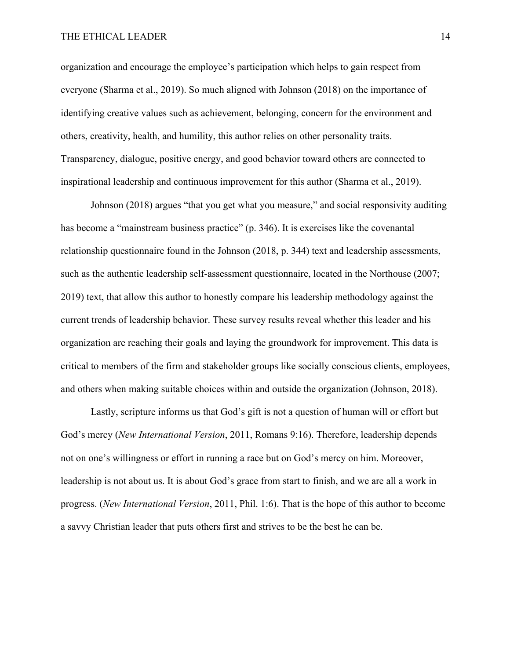# THE ETHICAL LEADER 14

organization and encourage the employee's participation which helps to gain respect from everyone (Sharma et al., 2019). So much aligned with Johnson (2018) on the importance of identifying creative values such as achievement, belonging, concern for the environment and others, creativity, health, and humility, this author relies on other personality traits. Transparency, dialogue, positive energy, and good behavior toward others are connected to inspirational leadership and continuous improvement for this author (Sharma et al., 2019).

Johnson (2018) argues "that you get what you measure," and social responsivity auditing has become a "mainstream business practice" (p. 346). It is exercises like the covenantal relationship questionnaire found in the Johnson (2018, p. 344) text and leadership assessments, such as the authentic leadership self-assessment questionnaire, located in the Northouse (2007; 2019) text, that allow this author to honestly compare his leadership methodology against the current trends of leadership behavior. These survey results reveal whether this leader and his organization are reaching their goals and laying the groundwork for improvement. This data is critical to members of the firm and stakeholder groups like socially conscious clients, employees, and others when making suitable choices within and outside the organization (Johnson, 2018).

Lastly, scripture informs us that God's gift is not a question of human will or effort but God's mercy (*New International Version*, 2011, Romans 9:16). Therefore, leadership depends not on one's willingness or effort in running a race but on God's mercy on him. Moreover, leadership is not about us. It is about God's grace from start to finish, and we are all a work in progress. (*New International Version*, 2011, Phil. 1:6). That is the hope of this author to become a savvy Christian leader that puts others first and strives to be the best he can be.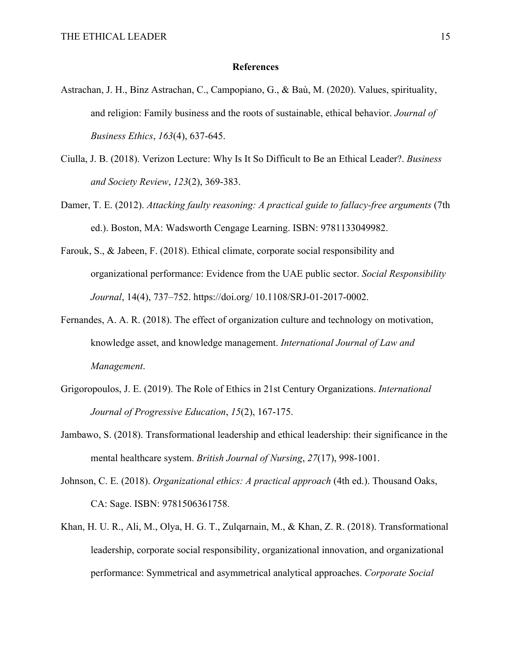## **References**

- Astrachan, J. H., Binz Astrachan, C., Campopiano, G., & Baù, M. (2020). Values, spirituality, and religion: Family business and the roots of sustainable, ethical behavior. *Journal of Business Ethics*, *163*(4), 637-645.
- Ciulla, J. B. (2018). Verizon Lecture: Why Is It So Difficult to Be an Ethical Leader?. *Business and Society Review*, *123*(2), 369-383.
- Damer, T. E. (2012). *Attacking faulty reasoning: A practical guide to fallacy-free arguments* (7th ed.). Boston, MA: Wadsworth Cengage Learning. ISBN: 9781133049982.
- Farouk, S., & Jabeen, F. (2018). Ethical climate, corporate social responsibility and organizational performance: Evidence from the UAE public sector. *Social Responsibility Journal*, 14(4), 737–752. https://doi.org/ 10.1108/SRJ‐01‐2017‐0002.
- Fernandes, A. A. R. (2018). The effect of organization culture and technology on motivation, knowledge asset, and knowledge management. *International Journal of Law and Management*.
- Grigoropoulos, J. E. (2019). The Role of Ethics in 21st Century Organizations. *International Journal of Progressive Education*, *15*(2), 167-175.
- Jambawo, S. (2018). Transformational leadership and ethical leadership: their significance in the mental healthcare system. *British Journal of Nursing*, *27*(17), 998-1001.
- Johnson, C. E. (2018). *Organizational ethics: A practical approach* (4th ed.). Thousand Oaks, CA: Sage. ISBN: 9781506361758.
- Khan, H. U. R., Ali, M., Olya, H. G. T., Zulqarnain, M., & Khan, Z. R. (2018). Transformational leadership, corporate social responsibility, organizational innovation, and organizational performance: Symmetrical and asymmetrical analytical approaches. *Corporate Social*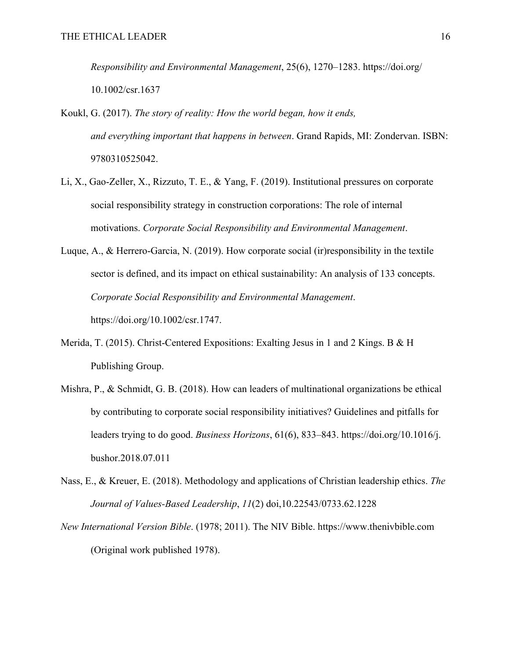*Responsibility and Environmental Management*, 25(6), 1270–1283. https://doi.org/ 10.1002/csr.1637

- Koukl, G. (2017). *The story of reality: How the world began, how it ends, and everything important that happens in between*. Grand Rapids, MI: Zondervan. ISBN: 9780310525042.
- Li, X., Gao‐Zeller, X., Rizzuto, T. E., & Yang, F. (2019). Institutional pressures on corporate social responsibility strategy in construction corporations: The role of internal motivations. *Corporate Social Responsibility and Environmental Management*.
- Luque, A., & Herrero‐Garcia, N. (2019). How corporate social (ir)responsibility in the textile sector is defined, and its impact on ethical sustainability: An analysis of 133 concepts. *Corporate Social Responsibility and Environmental Management*. https://doi.org/10.1002/csr.1747.
- Merida, T. (2015). Christ-Centered Expositions: Exalting Jesus in 1 and 2 Kings. B & H Publishing Group.
- Mishra, P., & Schmidt, G. B. (2018). How can leaders of multinational organizations be ethical by contributing to corporate social responsibility initiatives? Guidelines and pitfalls for leaders trying to do good. *Business Horizons*, 61(6), 833–843. https://doi.org/10.1016/j. bushor.2018.07.011
- Nass, E., & Kreuer, E. (2018). Methodology and applications of Christian leadership ethics. *The Journal of Values-Based Leadership*, *11*(2) doi,10.22543/0733.62.1228
- *New International Version Bible*. (1978; 2011). The NIV Bible. https://www.thenivbible.com (Original work published 1978).